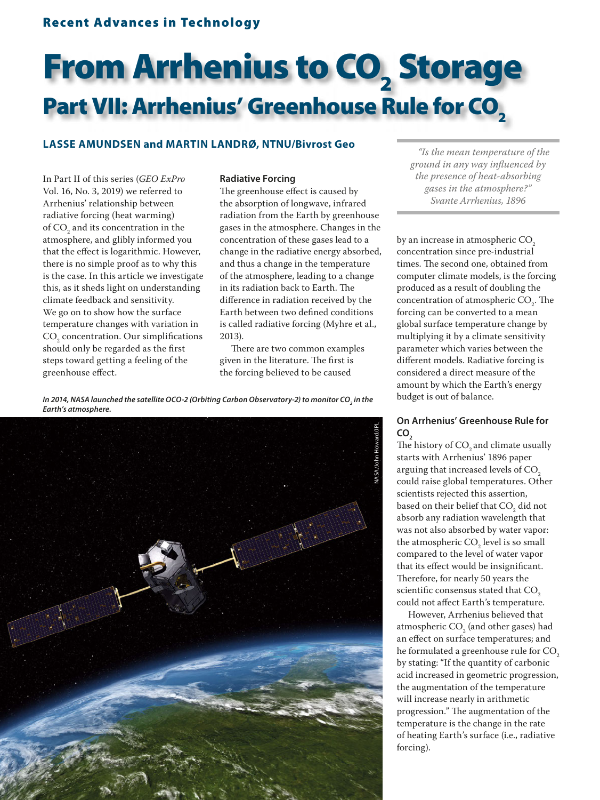## Recent Advances in Technology

# From Arrhenius to CO<sub>2</sub> Storage Part VII: Arrhenius' Greenhouse Rule for CO<sub>2</sub>

### **LASSE AMUNDSEN and MARTIN LANDRØ, NTNU/Bivrost Geo**

In Part II of this series (*GEO ExPro* Vol. 16, No. 3, 2019) we referred to Arrhenius' relationship between radiative forcing (heat warming) of  $\mathrm{CO}_2^{}$  and its concentration in the atmosphere, and glibly informed you that the effect is logarithmic. However, there is no simple proof as to why this is the case. In this article we investigate this, as it sheds light on understanding climate feedback and sensitivity. We go on to show how the surface temperature changes with variation in  $\mathrm{CO}_2$  concentration. Our simplifications should only be regarded as the first steps toward getting a feeling of the greenhouse effect.

#### **Radiative Forcing**

The greenhouse effect is caused by the absorption of longwave, infrared radiation from the Earth by greenhouse gases in the atmosphere. Changes in the concentration of these gases lead to a change in the radiative energy absorbed, and thus a change in the temperature of the atmosphere, leading to a change in its radiation back to Earth. The difference in radiation received by the Earth between two defined conditions is called radiative forcing (Myhre et al., 2013).

There are two common examples given in the literature. The first is the forcing believed to be caused

*In 2014, NASA launched the satellite OCO-2 (Orbiting Carbon Observatory-2) to monitor CO<sub>2</sub> in the Earth's atmosphere.*



*"Is the mean temperature of the ground in any way infl uenced by the presence of heat-absorbing gases in the atmosphere?" Svante Arrhenius, 1896*

by an increase in atmospheric CO<sub>2</sub> concentration since pre-industrial times. The second one, obtained from computer climate models, is the forcing produced as a result of doubling the concentration of atmospheric  $CO<sub>2</sub>$ . The forcing can be converted to a mean global surface temperature change by multiplying it by a climate sensitivity parameter which varies between the different models. Radiative forcing is considered a direct measure of the amount by which the Earth's energy budget is out of balance.

#### **On Arrhenius' Greenhouse Rule for** CO<sub>2</sub>

The history of  $CO<sub>2</sub>$  and climate usually starts with Arrhenius' 1896 paper arguing that increased levels of CO<sub>2</sub> could raise global temperatures. Other scientists rejected this assertion, based on their belief that  $\mathrm{CO}_2$  did not absorb any radiation wavelength that was not also absorbed by water vapor: the atmospheric  $CO<sub>2</sub>$  level is so small compared to the level of water vapor that its effect would be insignificant. Therefore, for nearly 50 years the scientific consensus stated that CO<sub>2</sub> could not affect Earth's temperature.

However, Arrhenius believed that atmospheric  $\text{CO}_2$  (and other gases) had an effect on surface temperatures; and he formulated a greenhouse rule for CO<sub>2</sub> by stating: "If the quantity of carbonic acid increased in geometric progression, the augmentation of the temperature will increase nearly in arithmetic progression." The augmentation of the temperature is the change in the rate of heating Earth's surface (i.e., radiative forcing).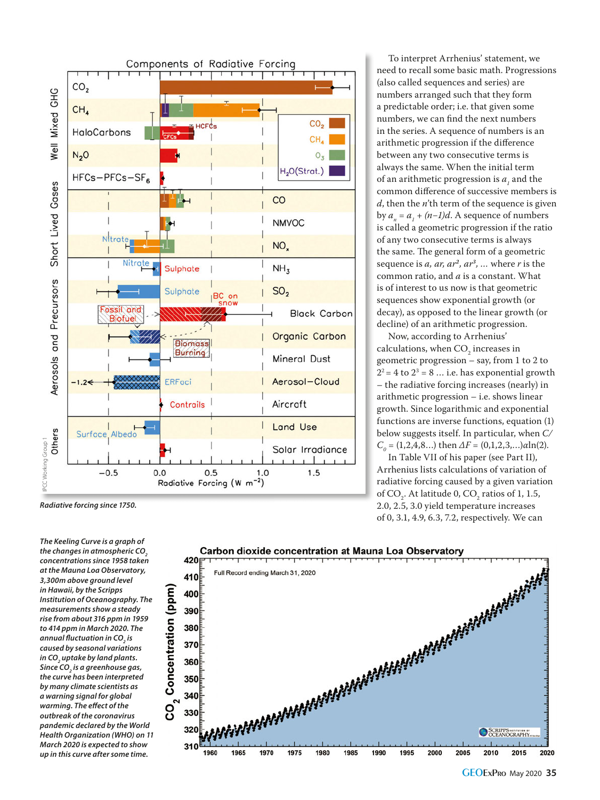

*The Keeling Curve is a graph of*  the changes in atmospheric CO<sub>2</sub> *concentrations since 1958 taken at the Mauna Loa Observatory, 3,300m above ground level in Hawaii, by the Scripps Institution of Oceanography. The measurements show a steady rise from about 316 ppm in 1959 to 414 ppm in March 2020. The annual fl uctuation in CO2 is caused by seasonal variations in CO2 uptake by land plants. Since CO2 is a greenhouse gas, the curve has been interpreted by many climate scientists as a warning signal for global*   $warming.$  The effect of the *outbreak of the coronavirus pandemic declared by the World Health Organization (WHO) on 11 March 2020 is expected to show up in this curve after some time.*



To interpret Arrhenius' statement, we need to recall some basic math. Progressions (also called sequences and series) are numbers arranged such that they form a predictable order; i.e. that given some numbers, we can find the next numbers in the series. A sequence of numbers is an arithmetic progression if the difference between any two consecutive terms is always the same. When the initial term of an arithmetic progression is  $a_i$  and the  $11$  and  $11$  and  $11$  and  $11$  common difference of successive members is *d*, then the *n*'th term of the sequence is given by  $a_n = a_1 + (n-1)d$ . A sequence of numbers  $\sum_{n=1}^{n}$   $\sum_{i=1}^{n}$  (*n* = *j n* = *z n* = *z n* = *z n* = *z z n* = *z z n* = *z z n* = *z z n* = *z z n* = *z z n* = *z z n* = *z z n* = *z z n* = *z n* = *z n* = *z* of any two consecutive terms is always the same. The general form of a geometric sequence is *a, ar, ar<sup>2</sup>, ar<sup>3</sup>, …* where *r* is the common ratio, and *a* is a constant. What is of interest to us now is that geometric sequences show exponential growth (or decay), as opposed to the linear growth (or decline) of an arithmetic progression.

Now, according to Arrhenius' calculations, when  $CO<sub>2</sub>$  increases in geometric progression – say, from 1 to 2 to<br> $2^2 = 4$  to  $2^3 = 8 ...$  i.e. has exponential growth – the radiative forcing increases (nearly) in arithmetic progression – i.e. shows linear growth. Since logarithmic and exponential functions are inverse functions, equation (1) below suggests itself. In particular, when *C/ C*<sub>0</sub> = (1,2,4,8...) then  $ΔF = (0,1,2,3,...)αln(2)$ .

In Table VII of his paper (see Part II), Arrhenius lists calculations of variation of radiative forcing caused by a given variation of  $CO_2$ . At latitude 0,  $CO_2$  ratios of 1, 1.5, 2.0, 2.5, 3.0 yield temperature increases of 0, 3.1, 4.9, 6.3, 7.2, respectively. We can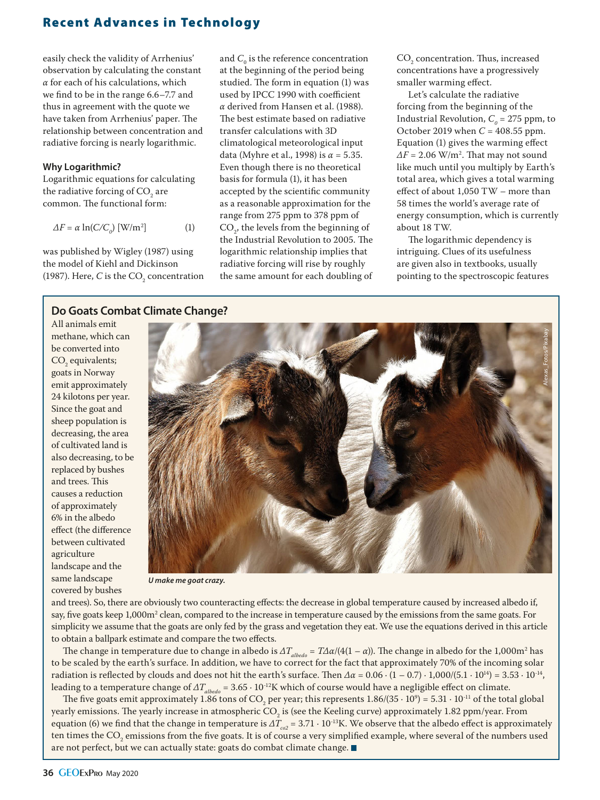# Recent Advances in Technology

easily check the validity of Arrhenius' observation by calculating the constant *α* for each of his calculations, which we find to be in the range 6.6–7.7 and thus in agreement with the quote we have taken from Arrhenius' paper. The relationship between concentration and radiative forcing is nearly logarithmic.

#### **Why Logarithmic?**

Logarithmic equations for calculating the radiative forcing of  $\mathrm{CO}_2^{\vphantom{\dagger}}$  are common. The functional form:

$$
\Delta F = \alpha \ln(C/C_o) \text{ [W/m²]} \tag{1}
$$

was published by Wigley (1987) using the model of Kiehl and Dickinson (1987). Here, *C* is the  $CO<sub>2</sub>$  concentration

and  $C_0$  is the reference concentration at the beginning of the period being studied. The form in equation (1) was used by IPCC 1990 with coefficient *α* derived from Hansen et al. (1988). The best estimate based on radiative transfer calculations with 3D climatological meteorological input data (Myhre et al., 1998) is *α* = 5.35. Even though there is no theoretical basis for formula (1), it has been accepted by the scientific community as a reasonable approximation for the range from 275 ppm to 378 ppm of  $CO<sub>2</sub>$ , the levels from the beginning of the Industrial Revolution to 2005. The logarithmic relationship implies that radiative forcing will rise by roughly the same amount for each doubling of

 $CO<sub>2</sub>$  concentration. Thus, increased concentrations have a progressively smaller warming effect.

Let's calculate the radiative forcing from the beginning of the Industrial Revolution,  $C_{\text{o}} = 275$  ppm, to October 2019 when *C* = 408.55 ppm. Equation (1) gives the warming effect  $\Delta F = 2.06$  W/m<sup>2</sup>. That may not sound like much until you multiply by Earth's total area, which gives a total warming effect of about 1,050 TW – more than 58 times the world's average rate of energy consumption, which is currently about 18 TW.

The logarithmic dependency is intriguing. Clues of its usefulness are given also in textbooks, usually pointing to the spectroscopic features

## **Do Goats Combat Climate Change?**

All animals emit methane, which can be converted into  $CO<sub>2</sub>$  equivalents; goats in Norway emit approximately 24 kilotons per year. Since the goat and sheep population is decreasing, the area of cultivated land is also decreasing, to be replaced by bushes and trees. This causes a reduction of approximately 6% in the albedo effect (the difference between cultivated agriculture landscape and the same landscape covered by bushes



*U make me goat crazy.*

and trees). So, there are obviously two counteracting effects: the decrease in global temperature caused by increased albedo if, say, five goats keep 1,000m<sup>2</sup> clean, compared to the increase in temperature caused by the emissions from the same goats. For simplicity we assume that the goats are only fed by the grass and vegetation they eat. We use the equations derived in this article to obtain a ballpark estimate and compare the two effects.

The change in temperature due to change in albedo is  $\Delta T_{albedo} = T\Delta \alpha/(4(1-\alpha))$ . The change in albedo for the 1,000m<sup>2</sup> has to be scaled by the earth's surface. In addition, we have to correct for the fact that approximately 70% of the incoming solar radiation is reflected by clouds and does not hit the earth's surface. Then  $\Delta \alpha = 0.06 \cdot (1 - 0.7) \cdot 1,000/(5.1 \cdot 10^{14}) = 3.53 \cdot 10^{-14}$ , leading to a temperature change of  $\Delta T_{albedo} = 3.65 \cdot 10^{-12}$ K which of course would have a negligible effect on climate.

The five goats emit approximately 1.86 tons of CO<sub>2</sub> per year; this represents  $1.86/(35 \cdot 10^9)$  =  $5.31 \cdot 10^{11}$  of the total global yearly emissions. The yearly increase in atmospheric CO<sub>2</sub> is (see the Keeling curve) approximately 1.82 ppm/year. From equation (6) we find that the change in temperature is  $\Delta T_{co2} = 3.71 \cdot 10^{-13}$ K. We observe that the albedo effect is approximately ten times the CO<sub>2</sub> emissions from the five goats. It is of course a very simplified example, where several of the numbers used are not perfect, but we can actually state: goats do combat climate change.